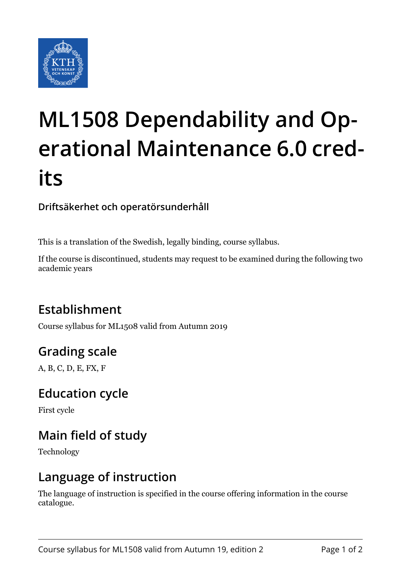

# **ML1508 Dependability and Operational Maintenance 6.0 credits**

#### **Driftsäkerhet och operatörsunderhåll**

This is a translation of the Swedish, legally binding, course syllabus.

If the course is discontinued, students may request to be examined during the following two academic years

## **Establishment**

Course syllabus for ML1508 valid from Autumn 2019

## **Grading scale**

A, B, C, D, E, FX, F

#### **Education cycle**

First cycle

## **Main field of study**

Technology

#### **Language of instruction**

The language of instruction is specified in the course offering information in the course catalogue.